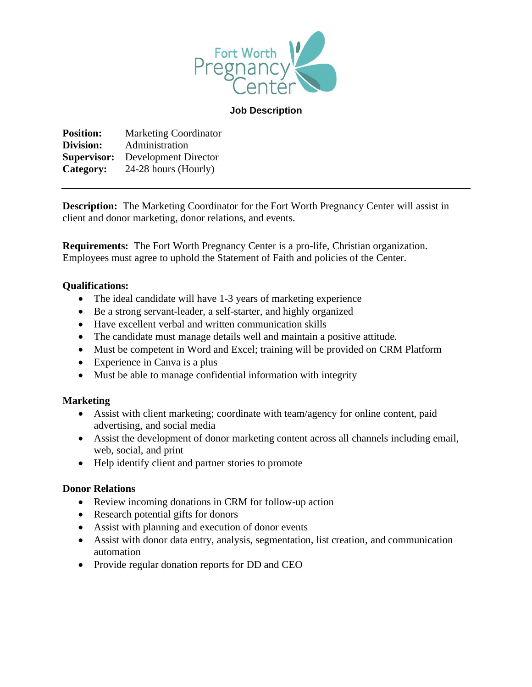

#### **Job Description**

**Position:** Marketing Coordinator **Division:** Administration **Supervisor:** Development Director **Category:** 24-28 hours (Hourly)

**Description:** The Marketing Coordinator for the Fort Worth Pregnancy Center will assist in client and donor marketing, donor relations, and events.

**Requirements:** The Fort Worth Pregnancy Center is a pro-life, Christian organization. Employees must agree to uphold the Statement of Faith and policies of the Center.

### **Qualifications:**

- The ideal candidate will have 1-3 years of marketing experience
- Be a strong servant-leader, a self-starter, and highly organized
- Have excellent verbal and written communication skills
- The candidate must manage details well and maintain a positive attitude.
- Must be competent in Word and Excel; training will be provided on CRM Platform
- Experience in Canva is a plus
- Must be able to manage confidential information with integrity

# **Marketing**

- Assist with client marketing; coordinate with team/agency for online content, paid advertising, and social media
- Assist the development of donor marketing content across all channels including email, web, social, and print
- Help identify client and partner stories to promote

# **Donor Relations**

- Review incoming donations in CRM for follow-up action
- Research potential gifts for donors
- Assist with planning and execution of donor events
- Assist with donor data entry, analysis, segmentation, list creation, and communication automation
- Provide regular donation reports for DD and CEO